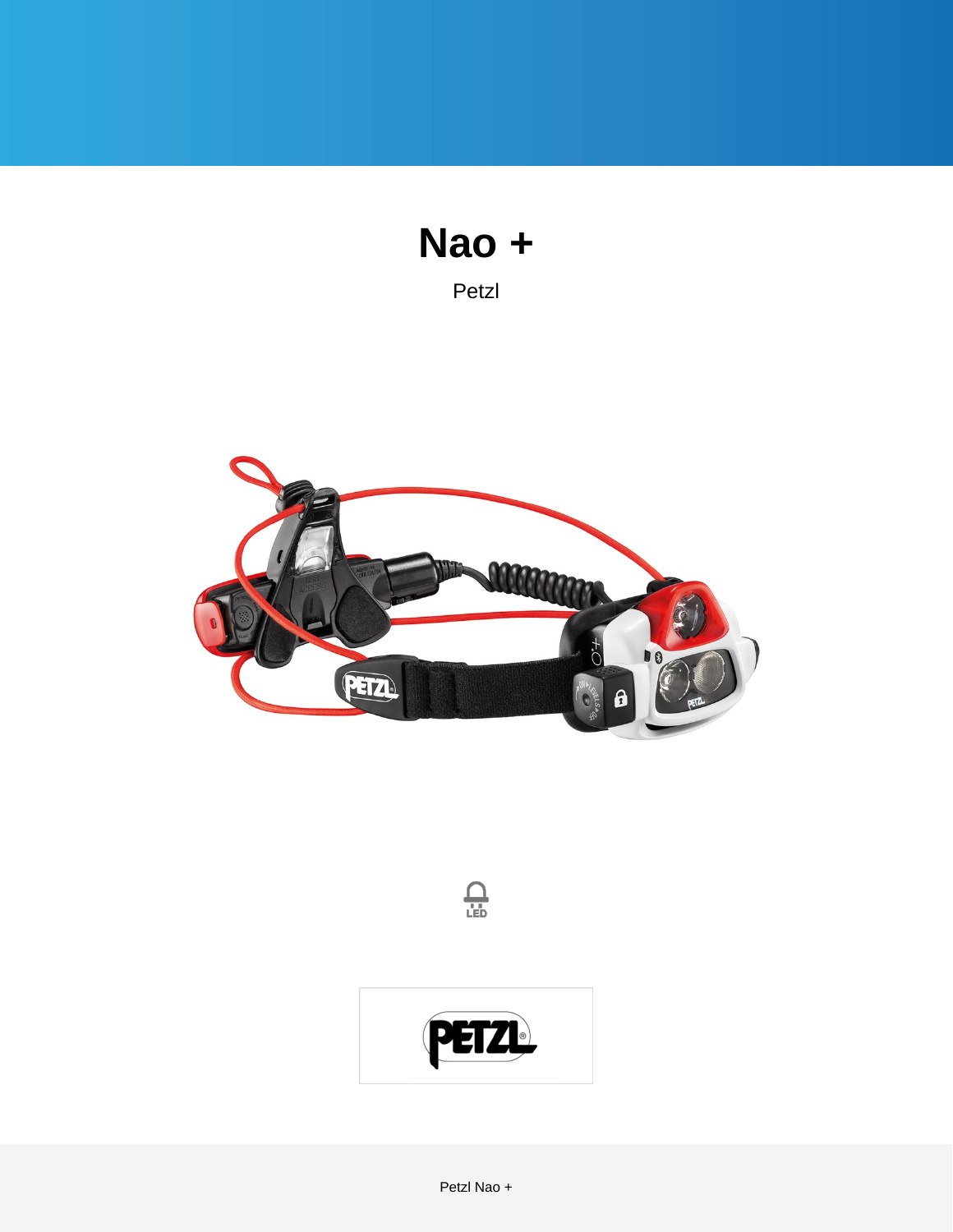

Petzl





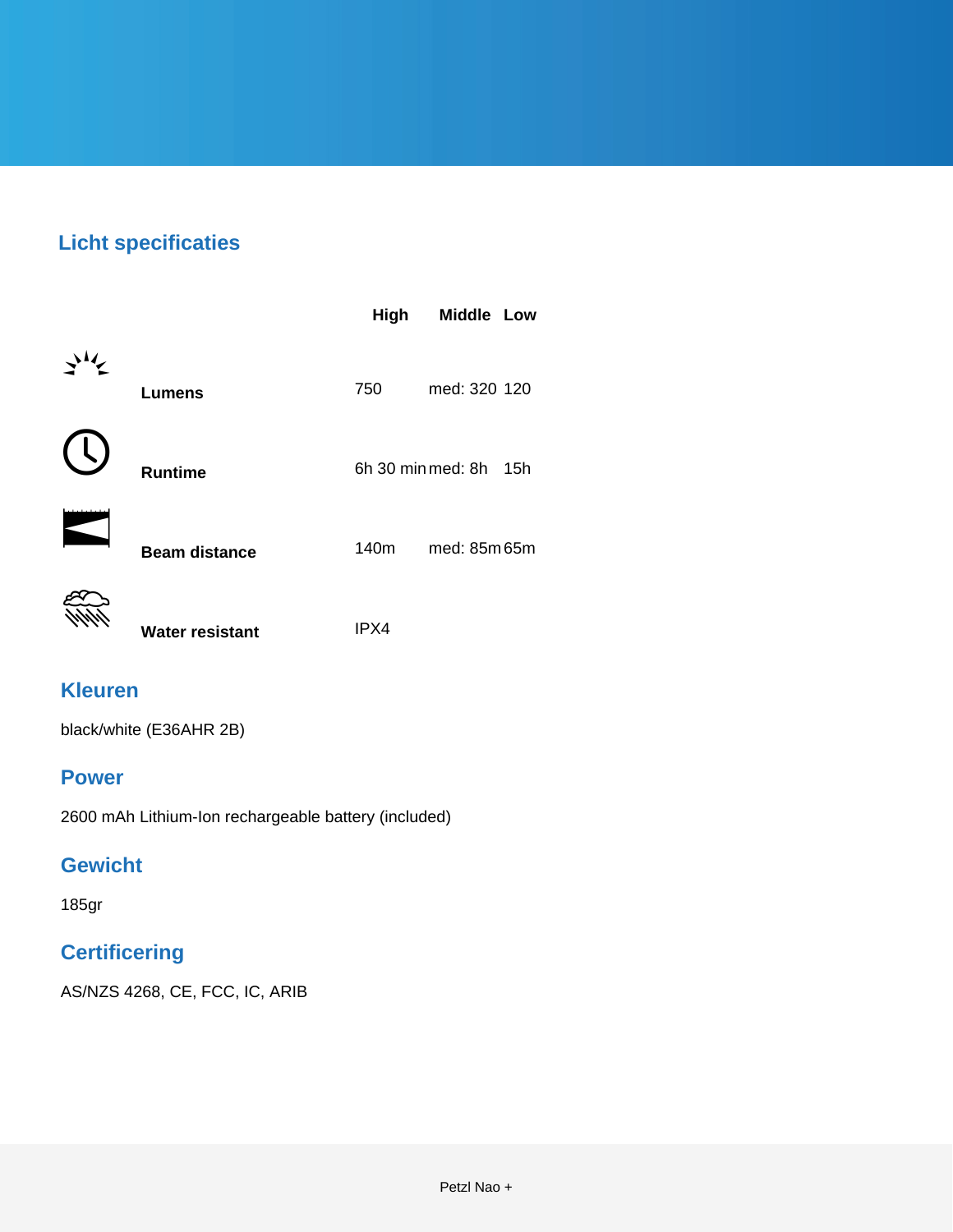# **Licht specificaties**

|                        | High             | Middle Low               |
|------------------------|------------------|--------------------------|
| <b>Lumens</b>          | 750              | med: 320 120             |
| <b>Runtime</b>         |                  | 6h 30 min med: 8h<br>15h |
| <b>Beam distance</b>   | 140 <sub>m</sub> | med: 85m 65m             |
| <b>Water resistant</b> | IPX4             |                          |

### **Kleuren**

black/white (E36AHR 2B)

#### **Power**

2600 mAh Lithium-Ion rechargeable battery (included)

#### **Gewicht**

185gr

### **Certificering**

AS/NZS 4268, CE, FCC, IC, ARIB